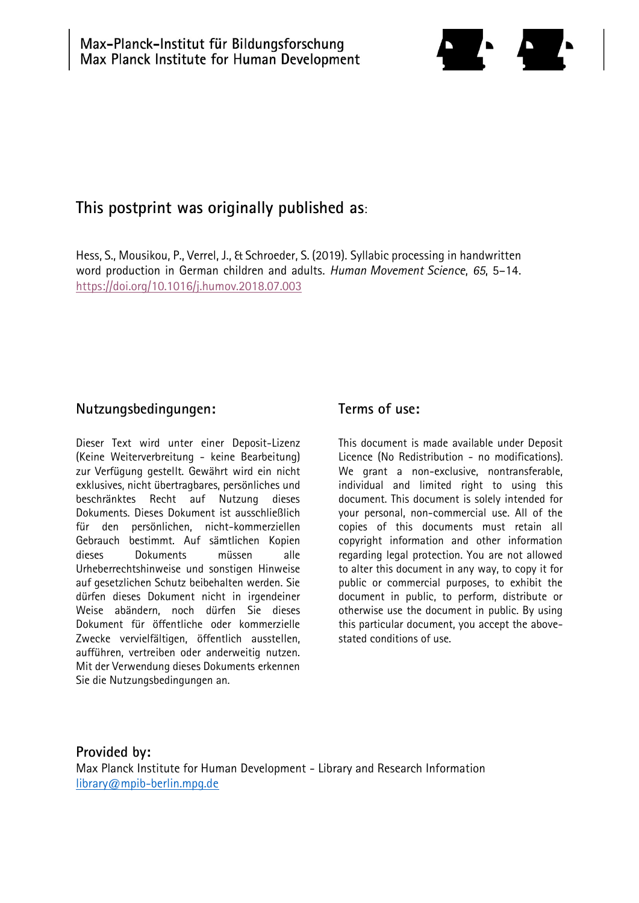

# **This postprint was originally published as**:

Hess, S., Mousikou, P., Verrel, J., & Schroeder, S. (2019). Syllabic processing in handwritten word production in German children and adults. *Human Movement Science*, *65*, 5–14. <https://doi.org/10.1016/j.humov.2018.07.003>

# **Nutzungsbedingungen:**

Dieser Text wird unter einer Deposit-Lizenz (Keine Weiterverbreitung - keine Bearbeitung) zur Verfügung gestellt. Gewährt wird ein nicht exklusives, nicht übertragbares, persönliches und beschränktes Recht auf Nutzung dieses Dokuments. Dieses Dokument ist ausschließlich für den persönlichen, nicht-kommerziellen Gebrauch bestimmt. Auf sämtlichen Kopien dieses Dokuments müssen alle Urheberrechtshinweise und sonstigen Hinweise auf gesetzlichen Schutz beibehalten werden. Sie dürfen dieses Dokument nicht in irgendeiner Weise abändern, noch dürfen Sie dieses Dokument für öffentliche oder kommerzielle Zwecke vervielfältigen, öffentlich ausstellen, aufführen, vertreiben oder anderweitig nutzen. Mit der Verwendung dieses Dokuments erkennen Sie die Nutzungsbedingungen an.

# **Terms of use:**

This document is made available under Deposit Licence (No Redistribution - no modifications). We grant a non-exclusive, nontransferable, individual and limited right to using this document. This document is solely intended for your personal, non-commercial use. All of the copies of this documents must retain all copyright information and other information regarding legal protection. You are not allowed to alter this document in any way, to copy it for public or commercial purposes, to exhibit the document in public, to perform, distribute or otherwise use the document in public. By using this particular document, you accept the abovestated conditions of use.

# **Provided by:**

Max Planck Institute for Human Development - Library and Research Information [library@mpib-berlin.mpg.de](mailto:library@mpib-berlin.mpg.de)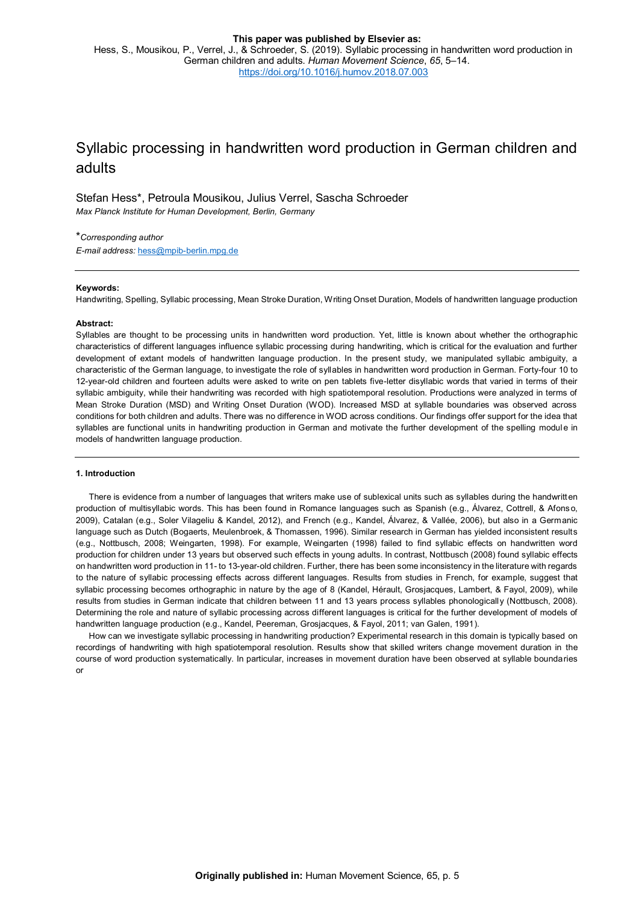# Syllabic processing in handwritten word production in German children and adults

Stefan Hess\*, Petroula Mousikou, Julius Verrel, Sascha Schroeder *Max Planck Institute for Human Development, Berlin, Germany*

\**Corresponding author E-mail address:* [hess@mpib-berlin.mpg.de](mailto:hess@mpib-berlin.mpg.de)

# **Keywords:**

Handwriting, Spelling, Syllabic processing, Mean Stroke Duration, Writing Onset Duration, Models of handwritten language production

# **Abstract:**

Syllables are thought to be processing units in handwritten word production. Yet, little is known about whether the orthographic characteristics of different languages influence syllabic processing during handwriting, which is critical for the evaluation and further development of extant models of handwritten language production. In the present study, we manipulated syllabic ambiguity, a characteristic of the German language, to investigate the role of syllables in handwritten word production in German. Forty-four 10 to 12-year-old children and fourteen adults were asked to write on pen tablets five-letter disyllabic words that varied in terms of their syllabic ambiguity, while their handwriting was recorded with high spatiotemporal resolution. Productions were analyzed in terms of Mean Stroke Duration (MSD) and Writing Onset Duration (WOD). Increased MSD at syllable boundaries was observed across conditions for both children and adults. There was no difference in WOD across conditions. Our findings offer support for the idea that syllables are functional units in handwriting production in German and motivate the further development of the spelling module in models of handwritten language production.

# **1. Introduction**

There is evidence from a number of languages that writers make use of sublexical units such as syllables during the handwritten production of multisyllabic words. This has been found in Romance languages such as Spanish (e.g., Álvarez, Cottrell, & Afonso, 2009), Catalan (e.g., Soler Vilageliu & Kandel, 2012), and French (e.g., Kandel, Álvarez, & Vallée, 2006), but also in a Germanic language such as Dutch (Bogaerts, Meulenbroek, & Thomassen, 1996). Similar research in German has yielded inconsistent results (e.g., Nottbusch, 2008; Weingarten, 1998). For example, Weingarten (1998) failed to find syllabic effects on handwritten word production for children under 13 years but observed such effects in young adults. In contrast, Nottbusch (2008) found syllabic effects on handwritten word production in 11- to 13-year-old children. Further, there has been some inconsistency in the literature with regards to the nature of syllabic processing effects across different languages. Results from studies in French, for example, suggest that syllabic processing becomes orthographic in nature by the age of 8 (Kandel, Hérault, Grosjacques, Lambert, & Fayol, 2009), while results from studies in German indicate that children between 11 and 13 years process syllables phonologically (Nottbusch, 2008). Determining the role and nature of syllabic processing across different languages is critical for the further development of models of handwritten language production (e.g., Kandel, Peereman, Grosjacques, & Fayol, 2011; van Galen, 1991).

How can we investigate syllabic processing in handwriting production? Experimental research in this domain is typically based on recordings of handwriting with high spatiotemporal resolution. Results show that skilled writers change movement duration in the course of word production systematically. In particular, increases in movement duration have been observed at syllable boundaries or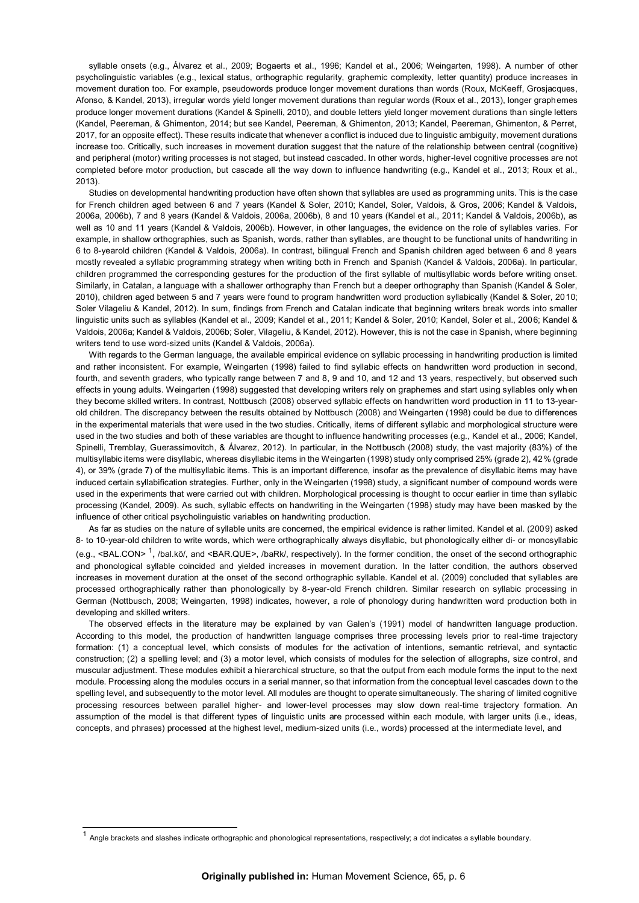syllable onsets (e.g., Álvarez et al., 2009; Bogaerts et al., 1996; Kandel et al., 2006; Weingarten, 1998). A number of other psycholinguistic variables (e.g., lexical status, orthographic regularity, graphemic complexity, letter quantity) produce increases in movement duration too. For example, pseudowords produce longer movement durations than words (Roux, McKeeff, Grosjacques, Afonso, & Kandel, 2013), irregular words yield longer movement durations than regular words (Roux et al., 2013), longer graphemes produce longer movement durations (Kandel & Spinelli, 2010), and double letters yield longer movement durations than single letters (Kandel, Peereman, & Ghimenton, 2014; but see Kandel, Peereman, & Ghimenton, 2013; Kandel, Peereman, Ghimenton, & Perret, 2017, for an opposite effect). These results indicate that whenever a conflict is induced due to linguistic ambiguity, movement durations increase too. Critically, such increases in movement duration suggest that the nature of the relationship between central (cognitive) and peripheral (motor) writing processes is not staged, but instead cascaded. In other words, higher-level cognitive processes are not completed before motor production, but cascade all the way down to influence handwriting (e.g., Kandel et al., 2013; Roux et al., 2013).

Studies on developmental handwriting production have often shown that syllables are used as programming units. This is the case for French children aged between 6 and 7 years (Kandel & Soler, 2010; Kandel, Soler, Valdois, & Gros, 2006; Kandel & Valdois, 2006a, 2006b), 7 and 8 years (Kandel & Valdois, 2006a, 2006b), 8 and 10 years (Kandel et al., 2011; Kandel & Valdois, 2006b), as well as 10 and 11 years (Kandel & Valdois, 2006b). However, in other languages, the evidence on the role of syllables varies. For example, in shallow orthographies, such as Spanish, words, rather than syllables, are thought to be functional units of handwriting in 6 to 8-yearold children (Kandel & Valdois, 2006a). In contrast, bilingual French and Spanish children aged between 6 and 8 years mostly revealed a syllabic programming strategy when writing both in French and Spanish (Kandel & Valdois, 2006a). In particular, children programmed the corresponding gestures for the production of the first syllable of multisyllabic words before writing onset. Similarly, in Catalan, a language with a shallower orthography than French but a deeper orthography than Spanish (Kandel & Soler, 2010), children aged between 5 and 7 years were found to program handwritten word production syllabically (Kandel & Soler, 2010; Soler Vilageliu & Kandel, 2012). In sum, findings from French and Catalan indicate that beginning writers break words into smaller linguistic units such as syllables (Kandel et al., 2009; Kandel et al., 2011; Kandel & Soler, 2010; Kandel, Soler et al., 2006; Kandel & Valdois, 2006a; Kandel & Valdois, 2006b; Soler, Vilageliu, & Kandel, 2012). However, this is not the case in Spanish, where beginning writers tend to use word-sized units (Kandel & Valdois, 2006a).

With regards to the German language, the available empirical evidence on syllabic processing in handwriting production is limited and rather inconsistent. For example, Weingarten (1998) failed to find syllabic effects on handwritten word production in second, fourth, and seventh graders, who typically range between 7 and 8, 9 and 10, and 12 and 13 years, respectively, but observed such effects in young adults. Weingarten (1998) suggested that developing writers rely on graphemes and start using syllables only when they become skilled writers. In contrast, Nottbusch (2008) observed syllabic effects on handwritten word production in 11 to 13-yearold children. The discrepancy between the results obtained by Nottbusch (2008) and Weingarten (1998) could be due to differences in the experimental materials that were used in the two studies. Critically, items of different syllabic and morphological structure were used in the two studies and both of these variables are thought to influence handwriting processes (e.g., Kandel et al., 2006; Kandel, Spinelli, Tremblay, Guerassimovitch, & Álvarez, 2012). In particular, in the Nottbusch (2008) study, the vast majority (83%) of the multisyllabic items were disyllabic, whereas disyllabic items in the Weingarten (1998) study only comprised 25% (grade 2), 42% (grade 4), or 39% (grade 7) of the multisyllabic items. This is an important difference, insofar as the prevalence of disyllabic items may have induced certain syllabification strategies. Further, only in the Weingarten (1998) study, a significant number of compound words were used in the experiments that were carried out with children. Morphological processing is thought to occur earlier in time than syllabic processing (Kandel, 2009). As such, syllabic effects on handwriting in the Weingarten (1998) study may have been masked by the influence of other critical psycholinguistic variables on handwriting production.

As far as studies on the nature of syllable units are concerned, the empirical evidence is rather limited. Kandel et al. (2009) asked 8- to 10-year-old children to write words, which were orthographically always disyllabic, but phonologically either di- or monosyllabic (e.g., <BAL.CON> <sup>1</sup>, /bal.kõ/, and <BAR.QUE>, /baRk/, respectively). In the former condition, the onset of the second orthographic and phonological syllable coincided and yielded increases in movement duration. In the latter condition, the authors observed increases in movement duration at the onset of the second orthographic syllable. Kandel et al. (2009) concluded that syllables are processed orthographically rather than phonologically by 8-year-old French children. Similar research on syllabic processing in German (Nottbusch, 2008; Weingarten, 1998) indicates, however, a role of phonology during handwritten word production both in developing and skilled writers.

The observed effects in the literature may be explained by van Galen's (1991) model of handwritten language production. According to this model, the production of handwritten language comprises three processing levels prior to real-time trajectory formation: (1) a conceptual level, which consists of modules for the activation of intentions, semantic retrieval, and syntactic construction; (2) a spelling level; and (3) a motor level, which consists of modules for the selection of allographs, size control, and muscular adjustment. These modules exhibit a hierarchical structure, so that the output from each module forms the input to the next module. Processing along the modules occurs in a serial manner, so that information from the conceptual level cascades down to the spelling level, and subsequently to the motor level. All modules are thought to operate simultaneously. The sharing of limited cognitive processing resources between parallel higher- and lower-level processes may slow down real-time trajectory formation. An assumption of the model is that different types of linguistic units are processed within each module, with larger units (i.e., ideas, concepts, and phrases) processed at the highest level, medium-sized units (i.e., words) processed at the intermediate level, and

l

 $^1$  Angle brackets and slashes indicate orthographic and phonological representations, respectively; a dot indicates a syllable boundary.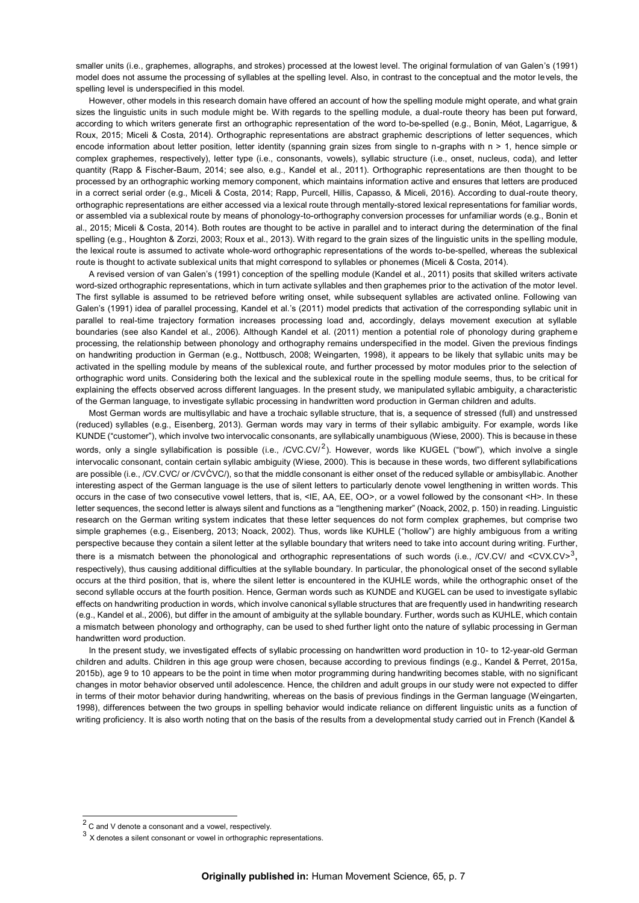smaller units (i.e., graphemes, allographs, and strokes) processed at the lowest level. The original formulation of van Galen's (1991) model does not assume the processing of syllables at the spelling level. Also, in contrast to the conceptual and the motor levels, the spelling level is underspecified in this model.

However, other models in this research domain have offered an account of how the spelling module might operate, and what grain sizes the linguistic units in such module might be. With regards to the spelling module, a dual-route theory has been put forward, according to which writers generate first an orthographic representation of the word to-be-spelled (e.g., Bonin, Méot, Lagarrigue, & Roux, 2015; Miceli & Costa, 2014). Orthographic representations are abstract graphemic descriptions of letter sequences, which encode information about letter position, letter identity (spanning grain sizes from single to n-graphs with n > 1, hence simple or complex graphemes, respectively), letter type (i.e., consonants, vowels), syllabic structure (i.e., onset, nucleus, coda), and letter quantity (Rapp & Fischer-Baum, 2014; see also, e.g., Kandel et al., 2011). Orthographic representations are then thought to be processed by an orthographic working memory component, which maintains information active and ensures that letters are produced in a correct serial order (e.g., Miceli & Costa, 2014; Rapp, Purcell, Hillis, Capasso, & Miceli, 2016). According to dual-route theory, orthographic representations are either accessed via a lexical route through mentally-stored lexical representations for familiar words, or assembled via a sublexical route by means of phonology-to-orthography conversion processes for unfamiliar words (e.g., Bonin et al., 2015; Miceli & Costa, 2014). Both routes are thought to be active in parallel and to interact during the determination of the final spelling (e.g., Houghton & Zorzi, 2003; Roux et al., 2013). With regard to the grain sizes of the linguistic units in the spelling module, the lexical route is assumed to activate whole-word orthographic representations of the words to-be-spelled, whereas the sublexical route is thought to activate sublexical units that might correspond to syllables or phonemes (Miceli & Costa, 2014).

A revised version of van Galen's (1991) conception of the spelling module (Kandel et al., 2011) posits that skilled writers activate word-sized orthographic representations, which in turn activate syllables and then graphemes prior to the activation of the motor level. The first syllable is assumed to be retrieved before writing onset, while subsequent syllables are activated online. Following van Galen's (1991) idea of parallel processing, Kandel et al.'s (2011) model predicts that activation of the corresponding syllabic unit in parallel to real-time trajectory formation increases processing load and, accordingly, delays movement execution at syllable boundaries (see also Kandel et al., 2006). Although Kandel et al. (2011) mention a potential role of phonology during grapheme processing, the relationship between phonology and orthography remains underspecified in the model. Given the previous findings on handwriting production in German (e.g., Nottbusch, 2008; Weingarten, 1998), it appears to be likely that syllabic units may be activated in the spelling module by means of the sublexical route, and further processed by motor modules prior to the selection of orthographic word units. Considering both the lexical and the sublexical route in the spelling module seems, thus, to be critical for explaining the effects observed across different languages. In the present study, we manipulated syllabic ambiguity, a characteristic of the German language, to investigate syllabic processing in handwritten word production in German children and adults.

Most German words are multisyllabic and have a trochaic syllable structure, that is, a sequence of stressed (full) and unstressed (reduced) syllables (e.g., Eisenberg, 2013). German words may vary in terms of their syllabic ambiguity. For example, words l ike KUNDE ("customer"), which involve two intervocalic consonants, are syllabically unambiguous (Wiese, 2000). This is because in these words, only a single syllabification is possible (i.e., /CVC.CV/ $^2$ ). However, words like KUGEL ("bowl"), which involve a single intervocalic consonant, contain certain syllabic ambiguity (Wiese, 2000). This is because in these words, two different syllabifications are possible (i.e., /CV.CVC/ or /CVĊVC/), so that the middle consonant is either onset of the reduced syllable or ambisyllabic. Another interesting aspect of the German language is the use of silent letters to particularly denote vowel lengthening in written words. This occurs in the case of two consecutive vowel letters, that is, <IE, AA, EE, OO>, or a vowel followed by the consonant <H>. In these letter sequences, the second letter is always silent and functions as a "lengthening marker" (Noack, 2002, p. 150) in reading. Linguistic research on the German writing system indicates that these letter sequences do not form complex graphemes, but comprise two simple graphemes (e.g., Eisenberg, 2013; Noack, 2002). Thus, words like KUHLE ("hollow") are highly ambiguous from a writing perspective because they contain a silent letter at the syllable boundary that writers need to take into account during writing. Further, there is a mismatch between the phonological and orthographic representations of such words (i.e., /CV.CV/ and <CVX.CV><sup>3</sup>, respectively), thus causing additional difficulties at the syllable boundary. In particular, the phonological onset of the second syllable occurs at the third position, that is, where the silent letter is encountered in the KUHLE words, while the orthographic onset of the second syllable occurs at the fourth position. Hence, German words such as KUNDE and KUGEL can be used to investigate syllabic effects on handwriting production in words, which involve canonical syllable structures that are frequently used in handwriting research (e.g., Kandel et al., 2006), but differ in the amount of ambiguity at the syllable boundary. Further, words such as KUHLE, which contain a mismatch between phonology and orthography, can be used to shed further light onto the nature of syllabic processing in German handwritten word production.

In the present study, we investigated effects of syllabic processing on handwritten word production in 10- to 12-year-old German children and adults. Children in this age group were chosen, because according to previous findings (e.g., Kandel & Perret, 2015a, 2015b), age 9 to 10 appears to be the point in time when motor programming during handwriting becomes stable, with no significant changes in motor behavior observed until adolescence. Hence, the children and adult groups in our study were not expected to differ in terms of their motor behavior during handwriting, whereas on the basis of previous findings in the German language (Weingarten, 1998), differences between the two groups in spelling behavior would indicate reliance on different linguistic units as a function of writing proficiency. It is also worth noting that on the basis of the results from a developmental study carried out in French (Kandel &

 $^2$  C and V denote a consonant and a vowel, respectively.

 $3 \times$  denotes a silent consonant or vowel in orthographic representations.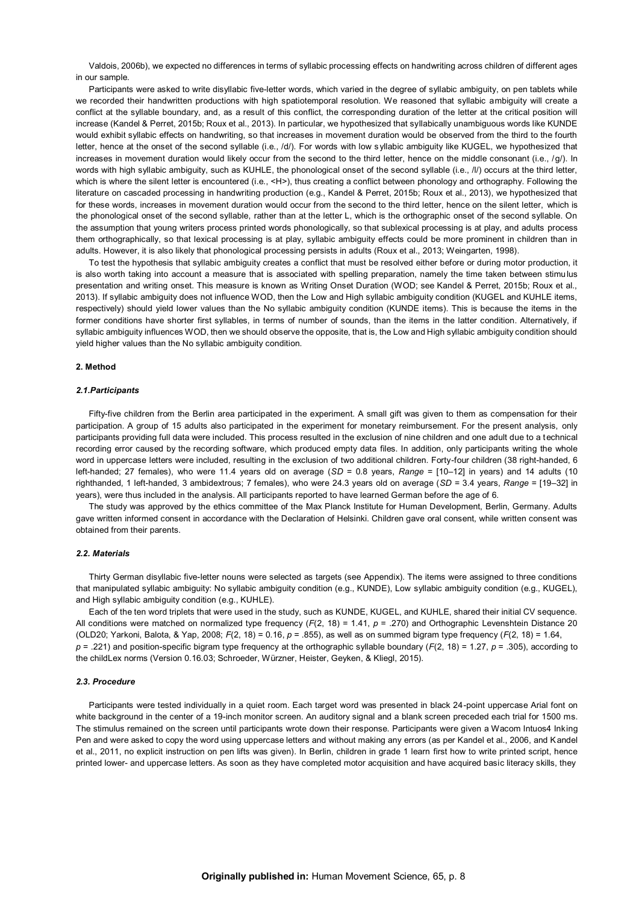Valdois, 2006b), we expected no differences in terms of syllabic processing effects on handwriting across children of different ages in our sample.

Participants were asked to write disyllabic five-letter words, which varied in the degree of syllabic ambiguity, on pen tablets while we recorded their handwritten productions with high spatiotemporal resolution. We reasoned that syllabic ambiguity will create a conflict at the syllable boundary, and, as a result of this conflict, the corresponding duration of the letter at the critical position will increase (Kandel & Perret, 2015b; Roux et al., 2013). In particular, we hypothesized that syllabically unambiguous words like KUNDE would exhibit syllabic effects on handwriting, so that increases in movement duration would be observed from the third to the fourth letter, hence at the onset of the second syllable (i.e., /d/). For words with low syllabic ambiguity like KUGEL, we hypothesized that increases in movement duration would likely occur from the second to the third letter, hence on the middle consonant (i.e., /g/). In words with high syllabic ambiguity, such as KUHLE, the phonological onset of the second syllable (i.e., /l/) occurs at the third letter, which is where the silent letter is encountered (i.e., <H>), thus creating a conflict between phonology and orthography. Following the literature on cascaded processing in handwriting production (e.g., Kandel & Perret, 2015b; Roux et al., 2013), we hypothesized that for these words, increases in movement duration would occur from the second to the third letter, hence on the silent letter, which is the phonological onset of the second syllable, rather than at the letter L, which is the orthographic onset of the second syllable. On the assumption that young writers process printed words phonologically, so that sublexical processing is at play, and adults process them orthographically, so that lexical processing is at play, syllabic ambiguity effects could be more prominent in children than in adults. However, it is also likely that phonological processing persists in adults (Roux et al., 2013; Weingarten, 1998).

To test the hypothesis that syllabic ambiguity creates a conflict that must be resolved either before or during motor production, it is also worth taking into account a measure that is associated with spelling preparation, namely the time taken between stimulus presentation and writing onset. This measure is known as Writing Onset Duration (WOD; see Kandel & Perret, 2015b; Roux et al., 2013). If syllabic ambiguity does not influence WOD, then the Low and High syllabic ambiguity condition (KUGEL and KUHLE items, respectively) should yield lower values than the No syllabic ambiguity condition (KUNDE items). This is because the items in the former conditions have shorter first syllables, in terms of number of sounds, than the items in the latter condition. Alternatively, if syllabic ambiguity influences WOD, then we should observe the opposite, that is, the Low and High syllabic ambiguity condition should yield higher values than the No syllabic ambiguity condition.

#### **2. Method**

#### *2.1.Participants*

Fifty-five children from the Berlin area participated in the experiment. A small gift was given to them as compensation for their participation. A group of 15 adults also participated in the experiment for monetary reimbursement. For the present analysis, only participants providing full data were included. This process resulted in the exclusion of nine children and one adult due to a technical recording error caused by the recording software, which produced empty data files. In addition, only participants writing the whole word in uppercase letters were included, resulting in the exclusion of two additional children. Forty-four children (38 right-handed, 6 left-handed; 27 females), who were 11.4 years old on average (*SD* = 0.8 years, *Range* = [10–12] in years) and 14 adults (10 righthanded, 1 left-handed, 3 ambidextrous; 7 females), who were 24.3 years old on average (*SD* = 3.4 years, *Range* = [19–32] in years), were thus included in the analysis. All participants reported to have learned German before the age of 6.

The study was approved by the ethics committee of the Max Planck Institute for Human Development, Berlin, Germany. Adults gave written informed consent in accordance with the Declaration of Helsinki. Children gave oral consent, while written consent was obtained from their parents.

#### *2.2. Materials*

Thirty German disyllabic five-letter nouns were selected as targets (see Appendix). The items were assigned to three conditions that manipulated syllabic ambiguity: No syllabic ambiguity condition (e.g., KUNDE), Low syllabic ambiguity condition (e.g., KUGEL), and High syllabic ambiguity condition (e.g., KUHLE).

Each of the ten word triplets that were used in the study, such as KUNDE, KUGEL, and KUHLE, shared their initial CV sequence. All conditions were matched on normalized type frequency (*F*(2, 18) = 1.41, *p* = .270) and Orthographic Levenshtein Distance 20 (OLD20; Yarkoni, Balota, & Yap, 2008; *F*(2, 18) = 0.16, *p* = .855), as well as on summed bigram type frequency (*F*(2, 18) = 1.64, *p* = .221) and position-specific bigram type frequency at the orthographic syllable boundary (*F*(2, 18) = 1.27, *p* = .305), according to the childLex norms (Version 0.16.03; Schroeder, Würzner, Heister, Geyken, & Kliegl, 2015).

#### *2.3. Procedure*

Participants were tested individually in a quiet room. Each target word was presented in black 24-point uppercase Arial font on white background in the center of a 19-inch monitor screen. An auditory signal and a blank screen preceded each trial for 1500 ms. The stimulus remained on the screen until participants wrote down their response. Participants were given a Wacom Intuos4 Inking Pen and were asked to copy the word using uppercase letters and without making any errors (as per Kandel et al., 2006, and Kandel et al., 2011, no explicit instruction on pen lifts was given). In Berlin, children in grade 1 learn first how to write printed script, hence printed lower- and uppercase letters. As soon as they have completed motor acquisition and have acquired basic literacy skills, they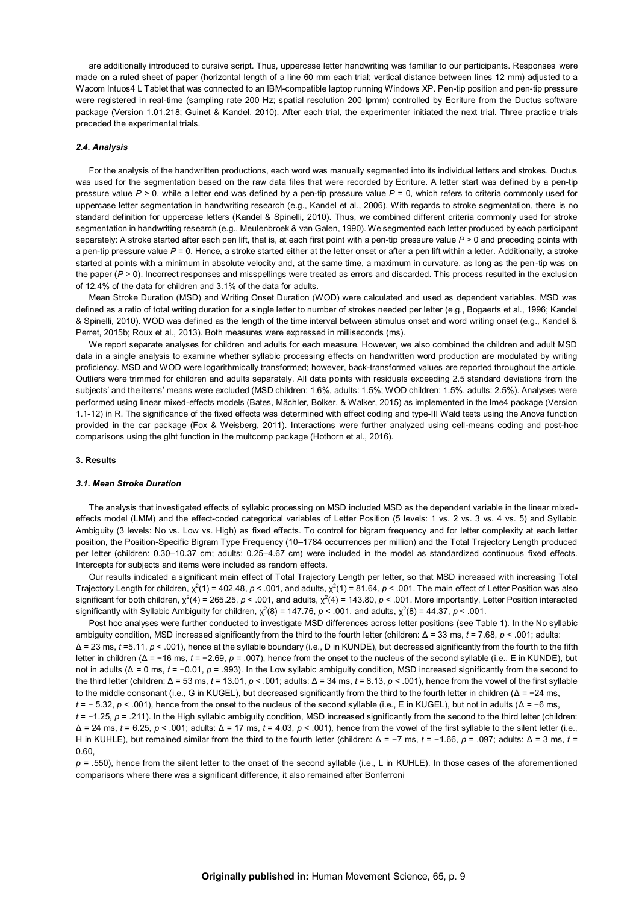are additionally introduced to cursive script. Thus, uppercase letter handwriting was familiar to our participants. Responses were made on a ruled sheet of paper (horizontal length of a line 60 mm each trial; vertical distance between lines 12 mm) adjusted to a Wacom Intuos4 L Tablet that was connected to an IBM-compatible laptop running Windows XP. Pen-tip position and pen-tip pressure were registered in real-time (sampling rate 200 Hz; spatial resolution 200 lpmm) controlled by Ecriture from the Ductus software package (Version 1.01.218; Guinet & Kandel, 2010). After each trial, the experimenter initiated the next trial. Three practice trials preceded the experimental trials.

### *2.4. Analysis*

For the analysis of the handwritten productions, each word was manually segmented into its individual letters and strokes. Ductus was used for the segmentation based on the raw data files that were recorded by Ecriture. A letter start was defined by a pen-tip pressure value *P* > 0, while a letter end was defined by a pen-tip pressure value *P* = 0, which refers to criteria commonly used for uppercase letter segmentation in handwriting research (e.g., Kandel et al., 2006). With regards to stroke segmentation, there is no standard definition for uppercase letters (Kandel & Spinelli, 2010). Thus, we combined different criteria commonly used for stroke segmentation in handwriting research (e.g., Meulenbroek & van Galen, 1990). We segmented each letter produced by each participant separately: A stroke started after each pen lift, that is, at each first point with a pen-tip pressure value *P* > 0 and preceding points with a pen-tip pressure value *P* = 0. Hence, a stroke started either at the letter onset or after a pen lift within a letter. Additionally, a stroke started at points with a minimum in absolute velocity and, at the same time, a maximum in curvature, as long as the pen-tip was on the paper ( $P > 0$ ). Incorrect responses and misspellings were treated as errors and discarded. This process resulted in the exclusion of 12.4% of the data for children and 3.1% of the data for adults.

Mean Stroke Duration (MSD) and Writing Onset Duration (WOD) were calculated and used as dependent variables. MSD was defined as a ratio of total writing duration for a single letter to number of strokes needed per letter (e.g., Bogaerts et al., 1996; Kandel & Spinelli, 2010). WOD was defined as the length of the time interval between stimulus onset and word writing onset (e.g., Kandel & Perret, 2015b; Roux et al., 2013). Both measures were expressed in milliseconds (ms).

We report separate analyses for children and adults for each measure. However, we also combined the children and adult MSD data in a single analysis to examine whether syllabic processing effects on handwritten word production are modulated by writing proficiency. MSD and WOD were logarithmically transformed; however, back-transformed values are reported throughout the article. Outliers were trimmed for children and adults separately. All data points with residuals exceeding 2.5 standard deviations from the subjects' and the items' means were excluded (MSD children: 1.6%, adults: 1.5%; WOD children: 1.5%, adults: 2.5%). Analyses were performed using linear mixed-effects models (Bates, Mächler, Bolker, & Walker, 2015) as implemented in the lme4 package (Version 1.1-12) in R. The significance of the fixed effects was determined with effect coding and type-III Wald tests using the Anova function provided in the car package (Fox & Weisberg, 2011). Interactions were further analyzed using cell-means coding and post-hoc comparisons using the glht function in the multcomp package (Hothorn et al., 2016).

#### **3. Results**

#### *3.1. Mean Stroke Duration*

The analysis that investigated effects of syllabic processing on MSD included MSD as the dependent variable in the linear mixedeffects model (LMM) and the effect-coded categorical variables of Letter Position (5 levels: 1 vs. 2 vs. 3 vs. 4 vs. 5) and Syllabic Ambiguity (3 levels: No vs. Low vs. High) as fixed effects. To control for bigram frequency and for letter complexity at each letter position, the Position-Specific Bigram Type Frequency (10–1784 occurrences per million) and the Total Trajectory Length produced per letter (children: 0.30–10.37 cm; adults: 0.25–4.67 cm) were included in the model as standardized continuous fixed effects. Intercepts for subjects and items were included as random effects.

Our results indicated a significant main effect of Total Trajectory Length per letter, so that MSD increased with increasing Total Trajectory Length for children,  $\chi^2(1) = 402.48$ ,  $p < .001$ , and adults,  $\chi^2(1) = 81.64$ ,  $p < .001$ . The main effect of Letter Position was also significant for both children,  $\chi^2(4) = 265.25$ ,  $\rho < .001$ , and adults,  $\chi^2(4) = 143.80$ ,  $\rho < .001$ . More importantly, Letter Position interacted significantly with Syllabic Ambiguity for children,  $\chi^2(8) = 147.76$ ,  $p < .001$ , and adults,  $\chi^2(8) = 44.37$ ,  $p < .001$ .

Post hoc analyses were further conducted to investigate MSD differences across letter positions (see Table 1). In the No syllabic ambiguity condition, MSD increased significantly from the third to the fourth letter (children: Δ = 33 ms, *t* = 7.68, *p* < .001; adults: Δ = 23 ms, *t* =5.11, *p* < .001), hence at the syllable boundary (i.e., D in KUNDE), but decreased significantly from the fourth to the fifth letter in children (Δ = −16 ms, *t* = −2.69, *p* = .007), hence from the onset to the nucleus of the second syllable (i.e., E in KUNDE), but not in adults (Δ = 0 ms, *t* = −0.01, *p* = .993). In the Low syllabic ambiguity condition, MSD increased significantly from the second to the third letter (children: Δ = 53 ms,  $t = 13.01$ ,  $p < .001$ ; adults: Δ = 34 ms,  $t = 8.13$ ,  $p < .001$ ), hence from the vowel of the first syllable to the middle consonant (i.e., G in KUGEL), but decreased significantly from the third to the fourth letter in children ( $Δ = -24$  ms,  $t = -5.32$ ,  $p < .001$ ), hence from the onset to the nucleus of the second syllable (i.e., E in KUGEL), but not in adults ( $\Delta = -6$  ms, *t* = −1.25, *p* = .211). In the High syllabic ambiguity condition, MSD increased significantly from the second to the third letter (children:

Δ = 24 ms, *t* = 6.25, *p* < .001; adults: Δ = 17 ms, *t* = 4.03, *p* < .001), hence from the vowel of the first syllable to the silent letter (i.e., H in KUHLE), but remained similar from the third to the fourth letter (children: Δ = −7 ms, *t* = −1.66, *p* = .097; adults: Δ = 3 ms, *t* = 0.60,

*p* = .550), hence from the silent letter to the onset of the second syllable (i.e., L in KUHLE). In those cases of the aforementioned comparisons where there was a significant difference, it also remained after Bonferroni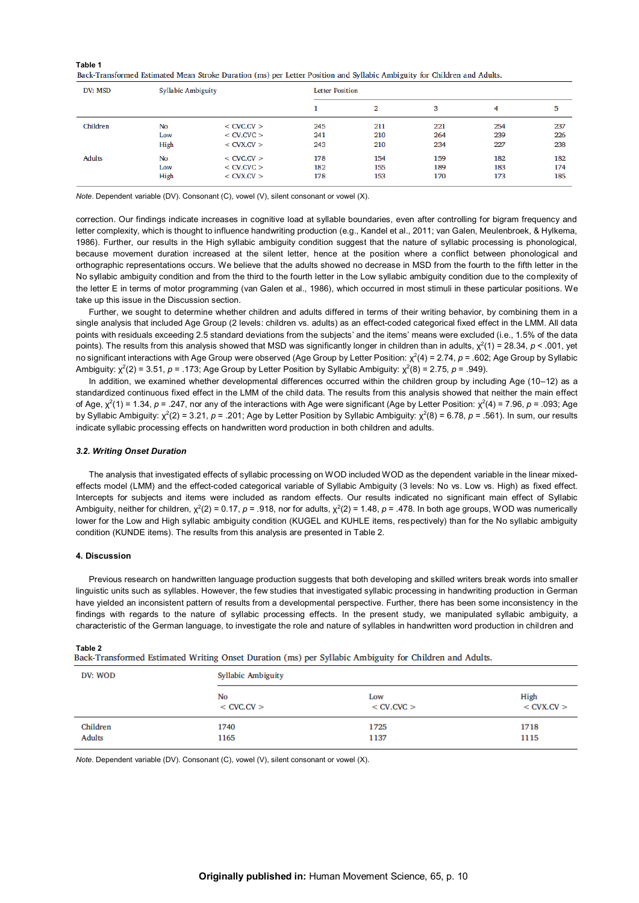**Table 1** Back-Transformed Estimated Mean Stroke Duration (ms) per Letter Position and Syllabic Ambiguity for Children and Adults.

| DV: MSD  | <b>Syllabic Ambiguity</b> |                | <b>Letter Position</b> |     |     |     |     |
|----------|---------------------------|----------------|------------------------|-----|-----|-----|-----|
|          |                           |                |                        | 2   | 3   | 4   | 5   |
| Children | No                        | $<$ CVC.CV $>$ | 245                    | 211 | 221 | 254 | 237 |
|          | Low                       | $<$ CV.CVC $>$ | 241                    | 210 | 264 | 239 | 226 |
|          | High                      | $<$ CVX.CV $>$ | 243                    | 210 | 234 | 227 | 238 |
| Adults   | No                        | $<$ CVC.CV $>$ | 178                    | 154 | 159 | 182 | 182 |
|          | Low                       | $<$ CV.CVC $>$ | 182                    | 155 | 189 | 183 | 174 |
|          | High                      | $<$ CVX.CV $>$ | 178                    | 153 | 170 | 173 | 185 |

*Note*. Dependent variable (DV). Consonant (C), vowel (V), silent consonant or vowel (X).

correction. Our findings indicate increases in cognitive load at syllable boundaries, even after controlling for bigram frequency and letter complexity, which is thought to influence handwriting production (e.g., Kandel et al., 2011; van Galen, Meulenbroek, & Hylkema, 1986). Further, our results in the High syllabic ambiguity condition suggest that the nature of syllabic processing is phonological, because movement duration increased at the silent letter, hence at the position where a conflict between phonological and orthographic representations occurs. We believe that the adults showed no decrease in MSD from the fourth to the fifth letter in the No syllabic ambiguity condition and from the third to the fourth letter in the Low syllabic ambiguity condition due to the complexity of the letter E in terms of motor programming (van Galen et al., 1986), which occurred in most stimuli in these particular positions. We take up this issue in the Discussion section.

Further, we sought to determine whether children and adults differed in terms of their writing behavior, by combining them in a single analysis that included Age Group (2 levels: children vs. adults) as an effect-coded categorical fixed effect in the LMM. All data points with residuals exceeding 2.5 standard deviations from the subjects' and the items' means were excluded (i.e., 1.5% of the data points). The results from this analysis showed that MSD was significantly longer in children than in adults, χ 2 (1) = 28.34, *p* < .001, yet no significant interactions with Age Group were observed (Age Group by Letter Position: χ 2 (4) = 2.74, *p* = .602; Age Group by Syllabic Ambiguity:  $\chi^2(2)$  = 3.51, *p* = .173; Age Group by Letter Position by Syllabic Ambiguity:  $\chi^2(8)$  = 2.75, *p* = .949).

In addition, we examined whether developmental differences occurred within the children group by including Age (10–12) as a standardized continuous fixed effect in the LMM of the child data. The results from this analysis showed that neither the main effect of Age,  $\chi^2(1) = 1.34$ , *p* = .247, nor any of the interactions with Age were significant (Age by Letter Position:  $\chi^2(4) = 7.96$ , *p* = .093; Age by Syllabic Ambiguity: χ<sup>2</sup>(2) = 3.21, *p* = .201; Age by Letter Position by Syllabic Ambiguity: χ<sup>2</sup>(8) = 6.78, *p* = .561). In sum, our results indicate syllabic processing effects on handwritten word production in both children and adults.

# *3.2. Writing Onset Duration*

The analysis that investigated effects of syllabic processing on WOD included WOD as the dependent variable in the linear mixedeffects model (LMM) and the effect-coded categorical variable of Syllabic Ambiguity (3 levels: No vs. Low vs. High) as fixed effect. Intercepts for subjects and items were included as random effects. Our results indicated no significant main effect of Syllabic Ambiguity, neither for children,  $\chi^2(2) = 0.17$ , *p* = .918, nor for adults,  $\chi^2(2) = 1.48$ , *p* = .478. In both age groups, WOD was numerically lower for the Low and High syllabic ambiguity condition (KUGEL and KUHLE items, respectively) than for the No syllabic ambiguity condition (KUNDE items). The results from this analysis are presented in Table 2.

#### **4. Discussion**

Previous research on handwritten language production suggests that both developing and skilled writers break words into smaller linguistic units such as syllables. However, the few studies that investigated syllabic processing in handwriting production in German have yielded an inconsistent pattern of results from a developmental perspective. Further, there has been some inconsistency in the findings with regards to the nature of syllabic processing effects. In the present study, we manipulated syllabic ambiguity, a characteristic of the German language, to investigate the role and nature of syllables in handwritten word production in children and

#### **Table 2**

Back-Transformed Estimated Writing Onset Duration (ms) per Syllabic Ambiguity for Children and Adults.

| DV: WOD  | Syllabic Ambiguity |                |                |  |  |  |
|----------|--------------------|----------------|----------------|--|--|--|
|          | No                 | Low            | High           |  |  |  |
|          | $<$ CVC.CV $>$     | $<$ CV.CVC $>$ | $<$ CVX.CV $>$ |  |  |  |
| Children | 1740               | 1725           | 1718           |  |  |  |
| Adults   | 1165               | 1137           | 1115           |  |  |  |

*Note*. Dependent variable (DV). Consonant (C), vowel (V), silent consonant or vowel (X).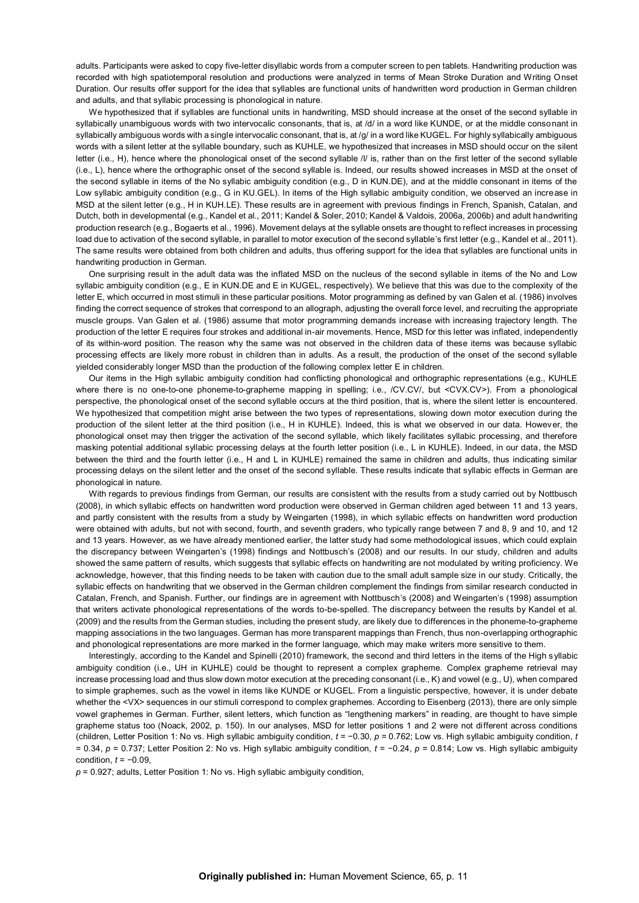adults. Participants were asked to copy five-letter disyllabic words from a computer screen to pen tablets. Handwriting production was recorded with high spatiotemporal resolution and productions were analyzed in terms of Mean Stroke Duration and Writing Onset Duration. Our results offer support for the idea that syllables are functional units of handwritten word production in German children and adults, and that syllabic processing is phonological in nature.

We hypothesized that if syllables are functional units in handwriting, MSD should increase at the onset of the second syllable in syllabically unambiguous words with two intervocalic consonants, that is, at /d/ in a word like KUNDE, or at the middle consonant in syllabically ambiguous words with a single intervocalic consonant, that is, at /g/ in a word like KUGEL. For highly syllabically ambiguous words with a silent letter at the syllable boundary, such as KUHLE, we hypothesized that increases in MSD should occur on the silent letter (i.e., H), hence where the phonological onset of the second syllable /l/ is, rather than on the first letter of the second syllable (i.e., L), hence where the orthographic onset of the second syllable is. Indeed, our results showed increases in MSD at the onset of the second syllable in items of the No syllabic ambiguity condition (e.g., D in KUN.DE), and at the middle consonant in items of the Low syllabic ambiguity condition (e.g., G in KU.GEL). In items of the High syllabic ambiguity condition, we observed an increase in MSD at the silent letter (e.g., H in KUH.LE). These results are in agreement with previous findings in French, Spanish, Catalan, and Dutch, both in developmental (e.g., Kandel et al., 2011; Kandel & Soler, 2010; Kandel & Valdois, 2006a, 2006b) and adult handwriting production research (e.g., Bogaerts et al., 1996). Movement delays at the syllable onsets are thought to reflect increases in processing load due to activation of the second syllable, in parallel to motor execution of the second syllable's first letter (e.g., Kandel et al., 2011). The same results were obtained from both children and adults, thus offering support for the idea that syllables are functional units in handwriting production in German.

One surprising result in the adult data was the inflated MSD on the nucleus of the second syllable in items of the No and Low syllabic ambiguity condition (e.g., E in KUN.DE and E in KUGEL, respectively). We believe that this was due to the complexity of the letter E, which occurred in most stimuli in these particular positions. Motor programming as defined by van Galen et al. (1986) involves finding the correct sequence of strokes that correspond to an allograph, adjusting the overall force level, and recruiting the appropriate muscle groups. Van Galen et al. (1986) assume that motor programming demands increase with increasing trajectory length. The production of the letter E requires four strokes and additional in-air movements. Hence, MSD for this letter was inflated, independently of its within-word position. The reason why the same was not observed in the children data of these items was because syllabic processing effects are likely more robust in children than in adults. As a result, the production of the onset of the second syllable yielded considerably longer MSD than the production of the following complex letter E in children.

Our items in the High syllabic ambiguity condition had conflicting phonological and orthographic representations (e.g., KUHLE where there is no one-to-one phoneme-to-grapheme mapping in spelling; i.e., /CV.CV/, but <CVX.CV>). From a phonological perspective, the phonological onset of the second syllable occurs at the third position, that is, where the silent letter is encountered. We hypothesized that competition might arise between the two types of representations, slowing down motor execution during the production of the silent letter at the third position (i.e., H in KUHLE). Indeed, this is what we observed in our data. However, the phonological onset may then trigger the activation of the second syllable, which likely facilitates syllabic processing, and therefore masking potential additional syllabic processing delays at the fourth letter position (i.e., L in KUHLE). Indeed, in our data, the MSD between the third and the fourth letter (i.e., H and L in KUHLE) remained the same in children and adults, thus indicating similar processing delays on the silent letter and the onset of the second syllable. These results indicate that syllabic effects in German are phonological in nature.

With regards to previous findings from German, our results are consistent with the results from a study carried out by Nottbusch (2008), in which syllabic effects on handwritten word production were observed in German children aged between 11 and 13 years, and partly consistent with the results from a study by Weingarten (1998), in which syllabic effects on handwritten word production were obtained with adults, but not with second, fourth, and seventh graders, who typically range between 7 and 8, 9 and 10, and 12 and 13 years. However, as we have already mentioned earlier, the latter study had some methodological issues, which could explain the discrepancy between Weingarten's (1998) findings and Nottbusch's (2008) and our results. In our study, children and adults showed the same pattern of results, which suggests that syllabic effects on handwriting are not modulated by writing proficiency. We acknowledge, however, that this finding needs to be taken with caution due to the small adult sample size in our study. Critically, the syllabic effects on handwriting that we observed in the German children complement the findings from similar research conducted in Catalan, French, and Spanish. Further, our findings are in agreement with Nottbusch's (2008) and Weingarten's (1998) assumption that writers activate phonological representations of the words to-be-spelled. The discrepancy between the results by Kandel et al. (2009) and the results from the German studies, including the present study, are likely due to differences in the phoneme-to-grapheme mapping associations in the two languages. German has more transparent mappings than French, thus non-overlapping orthographic and phonological representations are more marked in the former language, which may make writers more sensitive to them.

Interestingly, according to the Kandel and Spinelli (2010) framework, the second and third letters in the items of the High s yllabic ambiguity condition (i.e., UH in KUHLE) could be thought to represent a complex grapheme. Complex grapheme retrieval may increase processing load and thus slow down motor execution at the preceding consonant (i.e., K) and vowel (e.g., U), when compared to simple graphemes, such as the vowel in items like KUNDE or KUGEL. From a linguistic perspective, however, it is under debate whether the <VX> sequences in our stimuli correspond to complex graphemes. According to Eisenberg (2013), there are only simple vowel graphemes in German. Further, silent letters, which function as "lengthening markers" in reading, are thought to have simple grapheme status too (Noack, 2002, p. 150). In our analyses, MSD for letter positions 1 and 2 were not different across conditions (children, Letter Position 1: No vs. High syllabic ambiguity condition, *t* = −0.30, *p* = 0.762; Low vs. High syllabic ambiguity condition, *t* = 0.34, *p* = 0.737; Letter Position 2: No vs. High syllabic ambiguity condition, *t* = −0.24, *p* = 0.814; Low vs. High syllabic ambiguity condition,  $t = -0.09$ ,

*p* = 0.927; adults, Letter Position 1: No vs. High syllabic ambiguity condition,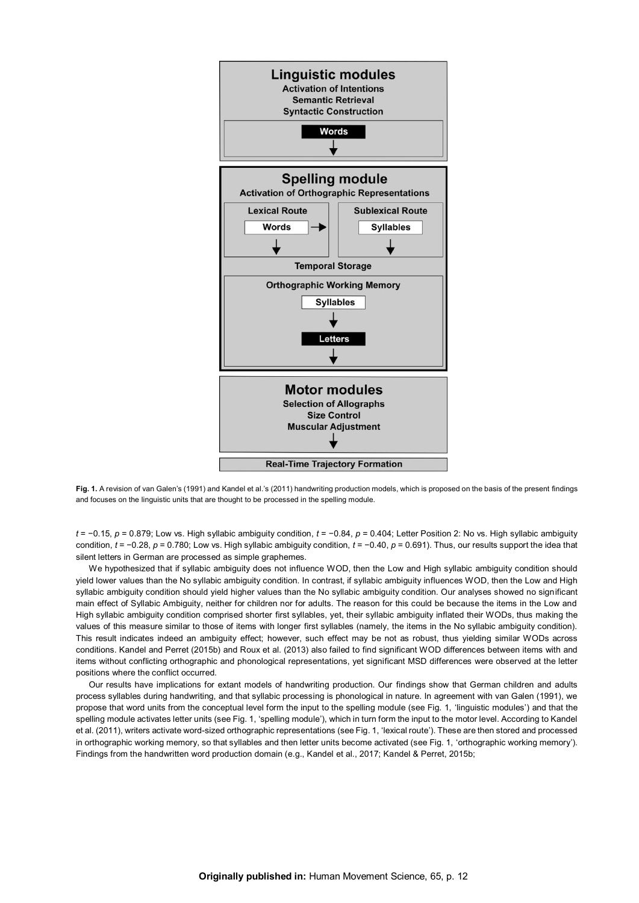

**Fig. 1.** A revision of van Galen's (1991) and Kandel et al.'s (2011) handwriting production models, which is proposed on the basis of the present findings and focuses on the linguistic units that are thought to be processed in the spelling module.

*t* = −0.15, *p* = 0.879; Low vs. High syllabic ambiguity condition, *t* = −0.84, *p* = 0.404; Letter Position 2: No vs. High syllabic ambiguity condition, *t* = −0.28, *p* = 0.780; Low vs. High syllabic ambiguity condition, *t* = −0.40, *p* = 0.691). Thus, our results support the idea that silent letters in German are processed as simple graphemes.

We hypothesized that if syllabic ambiguity does not influence WOD, then the Low and High syllabic ambiguity condition should yield lower values than the No syllabic ambiguity condition. In contrast, if syllabic ambiguity influences WOD, then the Low and High syllabic ambiguity condition should yield higher values than the No syllabic ambiguity condition. Our analyses showed no significant main effect of Syllabic Ambiguity, neither for children nor for adults. The reason for this could be because the items in the Low and High syllabic ambiguity condition comprised shorter first syllables, yet, their syllabic ambiguity inflated their WODs, thus making the values of this measure similar to those of items with longer first syllables (namely, the items in the No syllabic ambiguity condition). This result indicates indeed an ambiguity effect; however, such effect may be not as robust, thus yielding similar WODs across conditions. Kandel and Perret (2015b) and Roux et al. (2013) also failed to find significant WOD differences between items with and items without conflicting orthographic and phonological representations, yet significant MSD differences were observed at the letter positions where the conflict occurred.

Our results have implications for extant models of handwriting production. Our findings show that German children and adults process syllables during handwriting, and that syllabic processing is phonological in nature. In agreement with van Galen (1991), we propose that word units from the conceptual level form the input to the spelling module (see Fig. 1, 'linguistic modules') and that the spelling module activates letter units (see Fig. 1, 'spelling module'), which in turn form the input to the motor level. According to Kandel et al. (2011), writers activate word-sized orthographic representations (see Fig. 1, 'lexical route'). These are then stored and processed in orthographic working memory, so that syllables and then letter units become activated (see Fig. 1, 'orthographic working memory'). Findings from the handwritten word production domain (e.g., Kandel et al., 2017; Kandel & Perret, 2015b;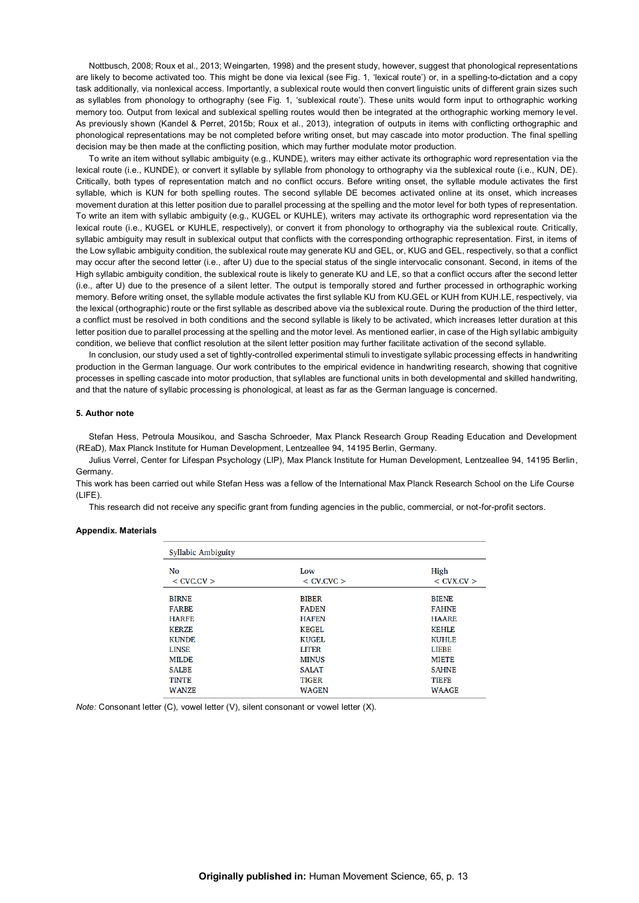Nottbusch, 2008; Roux et al., 2013; Weingarten, 1998) and the present study, however, suggest that phonological representations are likely to become activated too. This might be done via lexical (see Fig. 1, 'lexical route') or, in a spelling-to-dictation and a copy task additionally, via nonlexical access. Importantly, a sublexical route would then convert linguistic units of different grain sizes such as syllables from phonology to orthography (see Fig. 1, 'sublexical route'). These units would form input to orthographic working memory too. Output from lexical and sublexical spelling routes would then be integrated at the orthographic working memory level. As previously shown (Kandel & Perret, 2015b; Roux et al., 2013), integration of outputs in items with conflicting orthographic and phonological representations may be not completed before writing onset, but may cascade into motor production. The final spelling decision may be then made at the conflicting position, which may further modulate motor production.

To write an item without syllabic ambiguity (e.g., KUNDE), writers may either activate its orthographic word representation via the lexical route (i.e., KUNDE), or convert it syllable by syllable from phonology to orthography via the sublexical route (i.e., KUN, DE). Critically, both types of representation match and no conflict occurs. Before writing onset, the syllable module activates the first syllable, which is KUN for both spelling routes. The second syllable DE becomes activated online at its onset, which increases movement duration at this letter position due to parallel processing at the spelling and the motor level for both types of representation. To write an item with syllabic ambiguity (e.g., KUGEL or KUHLE), writers may activate its orthographic word representation via the lexical route (i.e., KUGEL or KUHLE, respectively), or convert it from phonology to orthography via the sublexical route. Critically, syllabic ambiguity may result in sublexical output that conflicts with the corresponding orthographic representation. First, in items of the Low syllabic ambiguity condition, the sublexical route may generate KU and GEL, or, KUG and GEL, respectively, so that a conflict may occur after the second letter (i.e., after U) due to the special status of the single intervocalic consonant. Second, in items of the High syllabic ambiguity condition, the sublexical route is likely to generate KU and LE, so that a conflict occurs after the second letter (i.e., after U) due to the presence of a silent letter. The output is temporally stored and further processed in orthographic working memory. Before writing onset, the syllable module activates the first syllable KU from KU.GEL or KUH from KUH.LE, respectively, via the lexical (orthographic) route or the first syllable as described above via the sublexical route. During the production of the third letter, a conflict must be resolved in both conditions and the second syllable is likely to be activated, which increases letter duration at this letter position due to parallel processing at the spelling and the motor level. As mentioned earlier, in case of the High syl labic ambiguity condition, we believe that conflict resolution at the silent letter position may further facilitate activation of the second syllable.

In conclusion, our study used a set of tightly-controlled experimental stimuli to investigate syllabic processing effects in handwriting production in the German language. Our work contributes to the empirical evidence in handwriting research, showing that cognitive processes in spelling cascade into motor production, that syllables are functional units in both developmental and skilled handwriting, and that the nature of syllabic processing is phonological, at least as far as the German language is concerned.

### **5. Author note**

Stefan Hess, Petroula Mousikou, and Sascha Schroeder, Max Planck Research Group Reading Education and Development (REaD), Max Planck Institute for Human Development, Lentzeallee 94, 14195 Berlin, Germany.

Julius Verrel, Center for Lifespan Psychology (LIP), Max Planck Institute for Human Development, Lentzeallee 94, 14195 Berlin, Germany.

This work has been carried out while Stefan Hess was a fellow of the International Max Planck Research School on the Life Course (LIFE).

This research did not receive any specific grant from funding agencies in the public, commercial, or not-for-profit sectors.

# **Appendix. Materials**

| Syllabic Ambiguity   |                       |                        |  |  |  |  |
|----------------------|-----------------------|------------------------|--|--|--|--|
| No<br>$<$ CVC.CV $>$ | Low<br>$<$ CV.CVC $>$ | High<br>$<$ CVX.CV $>$ |  |  |  |  |
| <b>BIRNE</b>         | <b>BIBER</b>          | <b>BIENE</b>           |  |  |  |  |
| <b>FARBE</b>         | <b>FADEN</b>          | <b>FAHNE</b>           |  |  |  |  |
| <b>HARFE</b>         | <b>HAFEN</b>          | <b>HAARE</b>           |  |  |  |  |
| <b>KERZE</b>         | <b>KEGEL</b>          | <b>KEHLE</b>           |  |  |  |  |
| <b>KUNDE</b>         | <b>KUGEL</b>          | <b>KUHLE</b>           |  |  |  |  |
| <b>LINSE</b>         | <b>LITER</b>          | LIEBE                  |  |  |  |  |
| <b>MILDE</b>         | <b>MINUS</b>          | <b>MIETE</b>           |  |  |  |  |
| <b>SALBE</b>         | <b>SALAT</b>          | <b>SAHNE</b>           |  |  |  |  |
| <b>TINTE</b>         | <b>TIGER</b>          | TIERE                  |  |  |  |  |
| <b>WANZE</b>         | <b>WAGEN</b>          | <b>WAAGE</b>           |  |  |  |  |

*Note:* Consonant letter (C), vowel letter (V), silent consonant or vowel letter (X).